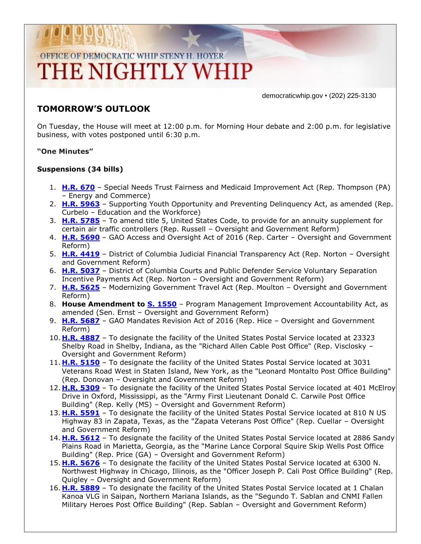# OFFICE OF DEMOCRATIC WHIP STENY H. HOYER THE NIGHTLY WHIP

democraticwhip.gov • (202) 225-3130

### **TOMORROW'S OUTLOOK**

On Tuesday, the House will meet at 12:00 p.m. for Morning Hour debate and 2:00 p.m. for legislative business, with votes postponed until 6:30 p.m.

#### **"One Minutes"**

#### **Suspensions (34 bills)**

- 1. **[H.R. 670](http://thomas.loc.gov/cgi-bin/bdquery/z?d114:HR670:/)** Special Needs Trust Fairness and Medicaid Improvement Act (Rep. Thompson (PA) – Energy and Commerce)
- 2. **[H.R. 5963](http://thomas.loc.gov/cgi-bin/bdquery/z?d114:HR5963:/)** Supporting Youth Opportunity and Preventing Delinquency Act, as amended (Rep. Curbelo – Education and the Workforce)
- 3. **[H.R. 5785](http://thomas.loc.gov/cgi-bin/bdquery/z?d114:HR5785:/)** To amend title 5, United States Code, to provide for an annuity supplement for certain air traffic controllers (Rep. Russell – Oversight and Government Reform)
- 4. **[H.R. 5690](http://thomas.loc.gov/cgi-bin/bdquery/z?d114:HR5690:/)** GAO Access and Oversight Act of 2016 (Rep. Carter Oversight and Government Reform)
- 5. **[H.R. 4419](http://thomas.loc.gov/cgi-bin/bdquery/z?d114:HR4419:/)** District of Columbia Judicial Financial Transparency Act (Rep. Norton Oversight and Government Reform)
- 6. **[H.R. 5037](http://thomas.loc.gov/cgi-bin/bdquery/z?d114:HR5037:/)** District of Columbia Courts and Public Defender Service Voluntary Separation Incentive Payments Act (Rep. Norton – Oversight and Government Reform)
- 7. **[H.R. 5625](http://thomas.loc.gov/cgi-bin/bdquery/z?d114:HR5625:/)** Modernizing Government Travel Act (Rep. Moulton Oversight and Government Reform)
- 8. **House Amendment to [S. 1550](http://thomas.loc.gov/cgi-bin/bdquery/z?d114:S1550:/)** Program Management Improvement Accountability Act, as amended (Sen. Ernst – Oversight and Government Reform)
- 9. **[H.R. 5687](http://thomas.loc.gov/cgi-bin/bdquery/z?d114:HR5687:/)** GAO Mandates Revision Act of 2016 (Rep. Hice Oversight and Government Reform)
- 10. **[H.R. 4887](http://thomas.loc.gov/cgi-bin/bdquery/z?d114:HR4887:/)** To designate the facility of the United States Postal Service located at 23323 Shelby Road in Shelby, Indiana, as the "Richard Allen Cable Post Office" (Rep. Visclosky – Oversight and Government Reform)
- 11. **[H.R. 5150](http://thomas.loc.gov/cgi-bin/bdquery/z?d114:HR5150:/)** To designate the facility of the United States Postal Service located at 3031 Veterans Road West in Staten Island, New York, as the "Leonard Montalto Post Office Building" (Rep. Donovan – Oversight and Government Reform)
- 12. **[H.R. 5309](http://thomas.loc.gov/cgi-bin/bdquery/z?d114:HR5309:/)** To designate the facility of the United States Postal Service located at 401 McElroy Drive in Oxford, Mississippi, as the "Army First Lieutenant Donald C. Carwile Post Office Building" (Rep. Kelly (MS) – Oversight and Government Reform)
- 13. **[H.R. 5591](http://thomas.loc.gov/cgi-bin/bdquery/z?d114:HR5591:/)** To designate the facility of the United States Postal Service located at 810 N US Highway 83 in Zapata, Texas, as the "Zapata Veterans Post Office" (Rep. Cuellar – Oversight and Government Reform)
- 14. **[H.R. 5612](http://thomas.loc.gov/cgi-bin/bdquery/z?d114:HR5612:/)** To designate the facility of the United States Postal Service located at 2886 Sandy Plains Road in Marietta, Georgia, as the "Marine Lance Corporal Squire Skip Wells Post Office Building" (Rep. Price (GA) – Oversight and Government Reform)
- 15. **[H.R. 5676](http://thomas.loc.gov/cgi-bin/bdquery/z?d114:HR5676:/)** To designate the facility of the United States Postal Service located at 6300 N. Northwest Highway in Chicago, Illinois, as the "Officer Joseph P. Cali Post Office Building" (Rep. Quigley – Oversight and Government Reform)
- 16. **[H.R. 5889](http://thomas.loc.gov/cgi-bin/bdquery/z?d114:HR5889:/)** To designate the facility of the United States Postal Service located at 1 Chalan Kanoa VLG in Saipan, Northern Mariana Islands, as the "Segundo T. Sablan and CNMI Fallen Military Heroes Post Office Building" (Rep. Sablan – Oversight and Government Reform)